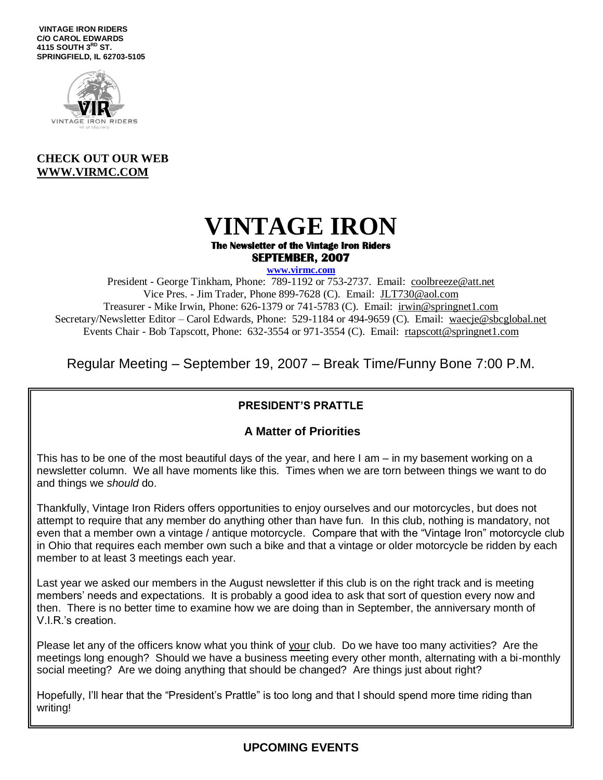**VINTAGE IRON RIDERS C/O CAROL EDWARDS 4115 SOUTH 3RD ST. SPRINGFIELD, IL 62703-5105**



#### **CHECK OUT OUR WEB [WWW.VIRMC.COM](http://www.virmc.com/)**

### **VINTAGE IRON The Newsletter of the Vintage Iron Riders SEPTEMBER, 2007**

**www.virmc.com** 

President - George Tinkham, Phone: 789-1192 or 753-2737. Email: [coolbreeze@att.net](mailto:coolbreeze@att.net) Vice Pres. - Jim Trader, Phone 899-7628 (C). Email: [JLT730@aol.com](mailto:JLT730@aol.com) Treasurer - Mike Irwin, Phone: 626-1379 or 741-5783 (C). Email: irwin@springnet1.com Secretary/Newsletter Editor – Carol Edwards, Phone: 529-1184 or 494-9659 (C). Email: waecje@sbcglobal.net Events Chair - Bob Tapscott, Phone: 632-3554 or 971-3554 (C). Email: [rtapscott@springnet1.com](mailto:rtapscott@springnet1.com)

Regular Meeting – September 19, 2007 – Break Time/Funny Bone 7:00 P.M.

### **PRESIDENT'S PRATTLE**

#### **A Matter of Priorities**

This has to be one of the most beautiful days of the year, and here I am – in my basement working on a newsletter column. We all have moments like this. Times when we are torn between things we want to do and things we *should* do.

Thankfully, Vintage Iron Riders offers opportunities to enjoy ourselves and our motorcycles, but does not attempt to require that any member do anything other than have fun. In this club, nothing is mandatory, not even that a member own a vintage / antique motorcycle. Compare that with the "Vintage Iron" motorcycle club in Ohio that requires each member own such a bike and that a vintage or older motorcycle be ridden by each member to at least 3 meetings each year.

Last year we asked our members in the August newsletter if this club is on the right track and is meeting members' needs and expectations. It is probably a good idea to ask that sort of question every now and then. There is no better time to examine how we are doing than in September, the anniversary month of V.I.R.'s creation.

Please let any of the officers know what you think of your club. Do we have too many activities? Are the meetings long enough? Should we have a business meeting every other month, alternating with a bi-monthly social meeting? Are we doing anything that should be changed? Are things just about right?

Hopefully, I'll hear that the "President's Prattle" is too long and that I should spend more time riding than writing!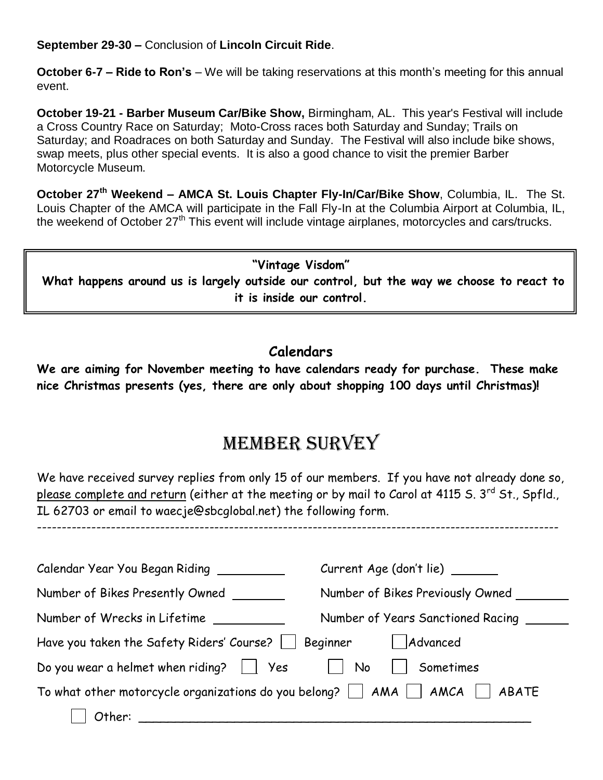**September 29-30 –** Conclusion of **Lincoln Circuit Ride**.

**October 6-7 – Ride to Ron's** – We will be taking reservations at this month's meeting for this annual event.

**October 19-21 - Barber Museum Car/Bike Show,** Birmingham, AL. This year's Festival will include a Cross Country Race on Saturday; Moto-Cross races both Saturday and Sunday; Trails on Saturday; and Roadraces on both Saturday and Sunday. The Festival will also include bike shows, swap meets, plus other special events. It is also a good chance to visit the premier Barber Motorcycle Museum.

**October 27th Weekend – AMCA St. Louis Chapter Fly-In/Car/Bike Show**, Columbia, IL. The St. Louis Chapter of the AMCA will participate in the Fall Fly-In at the Columbia Airport at Columbia, IL, the weekend of October 27<sup>th</sup> This event will include vintage airplanes, motorcycles and cars/trucks.

**"Vintage Visdom" What happens around us is largely outside our control, but the way we choose to react to it is inside our control.**

## **Calendars**

**We are aiming for November meeting to have calendars ready for purchase. These make nice Christmas presents (yes, there are only about shopping 100 days until Christmas)!**

# MEMBER SURVEY

We have received survey replies from only 15 of our members. If you have not already done so, please complete and return (either at the meeting or by mail to Carol at 4115 S. 3rd St., Spfld., IL 62703 or email to waecje@sbcglobal.net) the following form.

----------------------------------------------------------------------------------------------------------

| Calendar Year You Began Riding ____                                                          | Current Age (don't lie) _____     |  |  |  |
|----------------------------------------------------------------------------------------------|-----------------------------------|--|--|--|
| Number of Bikes Presently Owned                                                              | Number of Bikes Previously Owned  |  |  |  |
| Number of Wrecks in Lifetime                                                                 | Number of Years Sanctioned Racing |  |  |  |
| Have you taken the Safety Riders' Course?   Beginner                                         | Advanced                          |  |  |  |
| Do you wear a helmet when riding? $\Box$ Yes                                                 | No<br>Sometimes                   |  |  |  |
| To what other motorcycle organizations do you belong? $\Box$ AMA $\Box$ AMCA $\Box$<br>ABATE |                                   |  |  |  |
| Other:                                                                                       |                                   |  |  |  |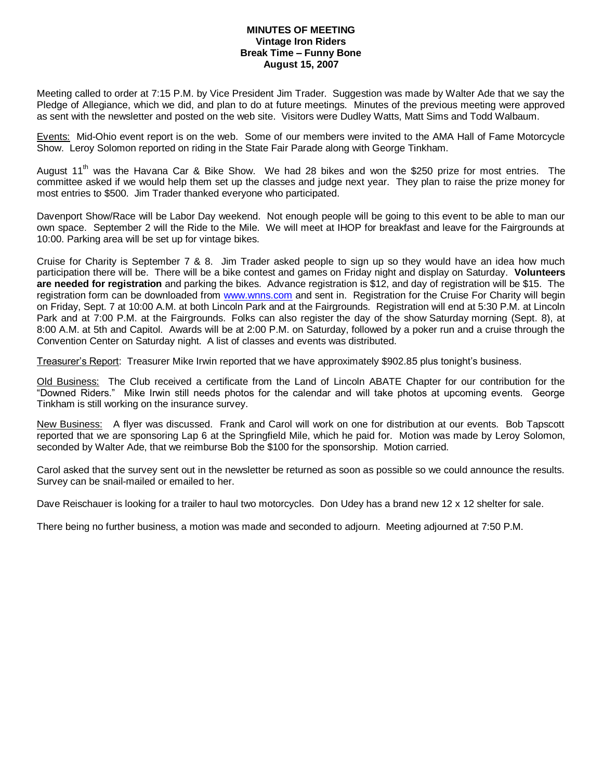#### **MINUTES OF MEETING Vintage Iron Riders Break Time – Funny Bone August 15, 2007**

Meeting called to order at 7:15 P.M. by Vice President Jim Trader. Suggestion was made by Walter Ade that we say the Pledge of Allegiance, which we did, and plan to do at future meetings. Minutes of the previous meeting were approved as sent with the newsletter and posted on the web site. Visitors were Dudley Watts, Matt Sims and Todd Walbaum.

Events: Mid-Ohio event report is on the web. Some of our members were invited to the AMA Hall of Fame Motorcycle Show. Leroy Solomon reported on riding in the State Fair Parade along with George Tinkham.

August 11<sup>th</sup> was the Havana Car & Bike Show. We had 28 bikes and won the \$250 prize for most entries. The committee asked if we would help them set up the classes and judge next year. They plan to raise the prize money for most entries to \$500. Jim Trader thanked everyone who participated.

Davenport Show/Race will be Labor Day weekend. Not enough people will be going to this event to be able to man our own space. September 2 will the Ride to the Mile. We will meet at IHOP for breakfast and leave for the Fairgrounds at 10:00. Parking area will be set up for vintage bikes.

Cruise for Charity is September 7 & 8. Jim Trader asked people to sign up so they would have an idea how much participation there will be. There will be a bike contest and games on Friday night and display on Saturday. **Volunteers are needed for registration** and parking the bikes. Advance registration is \$12, and day of registration will be \$15. The registration form can be downloaded from [www.wnns.com](http://www.wnns.com/) and sent in. Registration for the Cruise For Charity will begin on Friday, Sept. 7 at 10:00 A.M. at both Lincoln Park and at the Fairgrounds. Registration will end at 5:30 P.M. at Lincoln Park and at 7:00 P.M. at the Fairgrounds. Folks can also register the day of the show Saturday morning (Sept. 8), at 8:00 A.M. at 5th and Capitol. Awards will be at 2:00 P.M. on Saturday, followed by a poker run and a cruise through the Convention Center on Saturday night. A list of classes and events was distributed.

Treasurer's Report: Treasurer Mike Irwin reported that we have approximately \$902.85 plus tonight's business.

Old Business: The Club received a certificate from the Land of Lincoln ABATE Chapter for our contribution for the "Downed Riders." Mike Irwin still needs photos for the calendar and will take photos at upcoming events. George Tinkham is still working on the insurance survey.

New Business: A flyer was discussed. Frank and Carol will work on one for distribution at our events. Bob Tapscott reported that we are sponsoring Lap 6 at the Springfield Mile, which he paid for. Motion was made by Leroy Solomon, seconded by Walter Ade, that we reimburse Bob the \$100 for the sponsorship. Motion carried.

Carol asked that the survey sent out in the newsletter be returned as soon as possible so we could announce the results. Survey can be snail-mailed or emailed to her.

Dave Reischauer is looking for a trailer to haul two motorcycles. Don Udey has a brand new 12 x 12 shelter for sale.

There being no further business, a motion was made and seconded to adjourn. Meeting adjourned at 7:50 P.M.